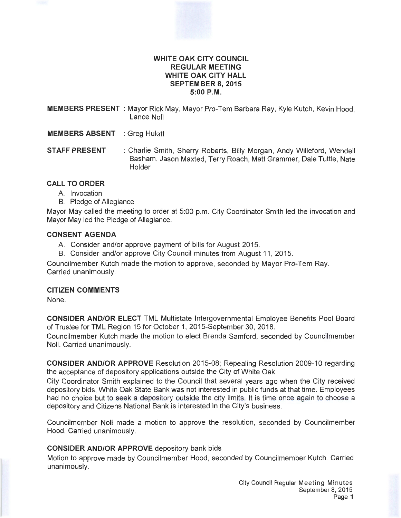## **WHITE OAK CITY COUNCIL REGULAR MEETING WHITE OAK CITY HALL SEPTEMBER 8, 2015 5:00P.M.**

**MEMBERS PRESENT** : Mayor Rick May, Mayor Pro-Tem Barbara Ray, Kyle Kutch, Kevin Hood, Lance Noll

## **MEMBERS ABSENT** : Greg Hulett

**STAFF PRESENT** : Charlie Smith, Sherry Roberts, Billy Morgan, Andy Willeford, Wendell Basham, Jason Maxted, Terry Roach, Matt Grammer, Dale Tuttle, Nate Holder

## **CALL TO ORDER**

- A. Invocation
- B. Pledge of Allegiance

Mayor May called the meeting to order at 5:00 p.m. City Coordinator Smith led the invocation and Mayor May led the Pledge of Allegiance.

## **CONSENT AGENDA**

- A. Consider and/or approve payment of bills for August 2015.
- B. Consider and/or approve City Council minutes from August 11, 2015.

Councilmember Kutch made the motion to approve, seconded by Mayor Pro-Tem Ray. Carried unanimously.

# **CITIZEN COMMENTS**

None.

**CONSIDER AND/OR ELECT** TML Multistate Intergovernmental Employee Benefits Pool Board of Trustee for TML Region 15 for October 1, 2015-September 30, 2018.

Councilmember Kutch made the motion to elect Brenda Samford, seconded by Councilnember Noll. Carried unanimously.

**CONSIDER AND/OR APPROVE** Resolution 2015-08; Repealing Resolution 2009-10 regarding the acceptance of depository applications outside the City of White Oak

City Coordinator Smith explained to the Council that several years ago when the City received depository bids, White Oak State Bank was not interested in public funds at that time. Employees had no choice but to seek a depository outside the city limits. It is time orce again to choose a depository and Citizens National Bank is interested in the City's business.

Councilmember Noll made a motion to approve the resolution, seconded by Councilmember Hood. Carried unanimously.

# **CONSIDER AND/OR APPROVE** depository bank bids

Motion to approve made by Councilmember Hood, seconded by Councilmember Kutch. Carried unanimously.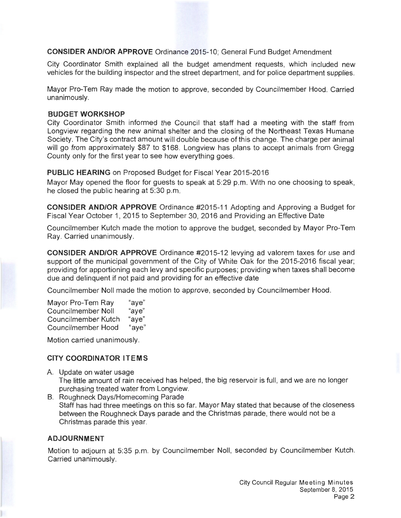**CONSIDER AND/OR APPROVE** Ordinance 2015-10; General Fund Budget Amendment

City Coordinator Smith explained all the budget amendment requests, which included new vehicles for the building inspector and the street department, and for police department supplies.

Mayor Pro-Tem Ray made the motion to approve, seconded by Councilmember Hood. Carried unanimously.

#### **BUDGET WORKSHOP**

City Coordinator Smith informed the Council that staff had a meeting with the staff from Longview regarding the new animal shelter and the closing of the Northeast Texas Humane Society. The City's contract amount will double because of this change. The charge per animal will go from approximately \$87 to \$168. Longview has plans to accept animals from Gregg County only for the first year to see how everything goes.

**PUBLIC HEARING** on Proposed Budget for Fiscal Year 2015-2016

Mayor May opened the floor for guests to speak at 5:29 p.m. With no one choosing to speak, he closed the public hearing at 5:30 p.m.

**CONSIDER AND/OR APPROVE** Ordinance #2015-11 Adopting and Approving a Budget for Fiscal Year October 1, 2015 to September 30, 2016 and Providing an Effective Date

Councilmember Kutch made the motion to approve the budget, seconded by Mayor Pro-Tem Ray. Carried unanimously.

**CONSIDER AND/OR APPROVE** Ordinance #2015-12 levying ad valorem taxes for use and support of the municipal government of the City of White Oak for the 2015-2016 fiscal year; providing for apportioning each levy and specific purposes; providing when taxes shall become due and delinquent if not paid and providing for an effective date

Councilmember Noll made the motion to approve, seconded by Councilmember Hood.

Mayor Pro-Tem Ray "aye" Councilmember Noll "aye" Councilmember Kutch "aye" Councilmember Hood "aye"

Motion carried unanimously.

# **CITY COORDINATOR ITEMS**

- A. Update on water usage The little amount of rain received has helped, the big reservoir is full, and we are no longer purchasing treated water from Longview.
- B. Roughneck Days/Homecoming Parade Staff has had three meetings on this so far. Mayor May stated that because of the closeness between the Roughneck Days parade and the Christmas parade, there would not be a Christmas parade this year.

## **ADJOURNMENT**

Motion to adjourn at 5:35 p.m. by Councilmember Noll, seconded by Councilmember Kutch. Carried unanimously.